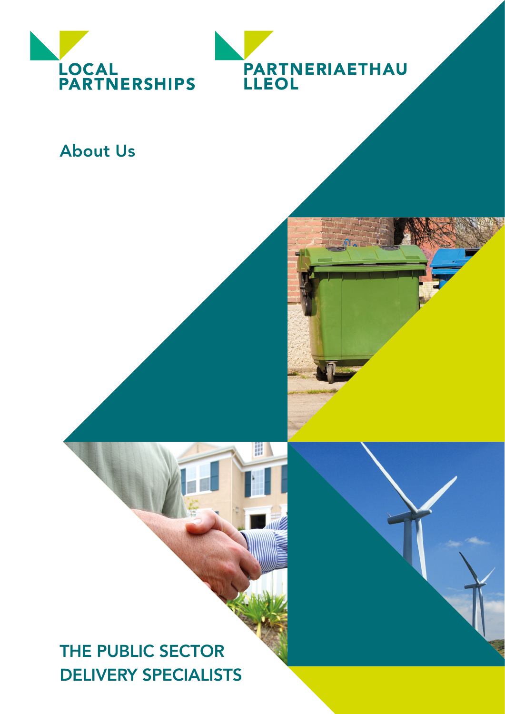



# About Us

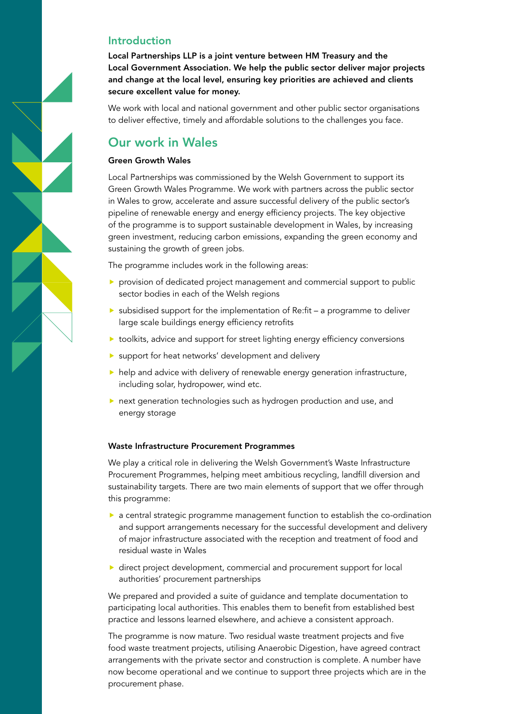### Introduction

Local Partnerships LLP is a joint venture between HM Treasury and the Local Government Association. We help the public sector deliver major projects and change at the local level, ensuring key priorities are achieved and clients secure excellent value for money.

We work with local and national government and other public sector organisations to deliver effective, timely and affordable solutions to the challenges you face.

# Our work in Wales

#### Green Growth Wales

Local Partnerships was commissioned by the Welsh Government to support its Green Growth Wales Programme. We work with partners across the public sector in Wales to grow, accelerate and assure successful delivery of the public sector's pipeline of renewable energy and energy efficiency projects. The key objective of the programme is to support sustainable development in Wales, by increasing green investment, reducing carbon emissions, expanding the green economy and sustaining the growth of green jobs.

The programme includes work in the following areas:

- **P** provision of dedicated project management and commercial support to public sector bodies in each of the Welsh regions
- $\triangleright$  subsidised support for the implementation of Re:fit a programme to deliver large scale buildings energy efficiency retrofits
- **t** toolkits, advice and support for street lighting energy efficiency conversions
- support for heat networks' development and delivery
- $\blacktriangleright$  help and advice with delivery of renewable energy generation infrastructure, including solar, hydropower, wind etc.
- next generation technologies such as hydrogen production and use, and energy storage

#### Waste Infrastructure Procurement Programmes

We play a critical role in delivering the Welsh Government's Waste Infrastructure Procurement Programmes, helping meet ambitious recycling, landfill diversion and sustainability targets. There are two main elements of support that we offer through this programme:

- $\triangleright$  a central strategic programme management function to establish the co-ordination and support arrangements necessary for the successful development and delivery of major infrastructure associated with the reception and treatment of food and residual waste in Wales
- ▶ direct project development, commercial and procurement support for local authorities' procurement partnerships

We prepared and provided a suite of guidance and template documentation to participating local authorities. This enables them to benefit from established best practice and lessons learned elsewhere, and achieve a consistent approach.

The programme is now mature. Two residual waste treatment projects and five food waste treatment projects, utilising Anaerobic Digestion, have agreed contract arrangements with the private sector and construction is complete. A number have now become operational and we continue to support three projects which are in the procurement phase.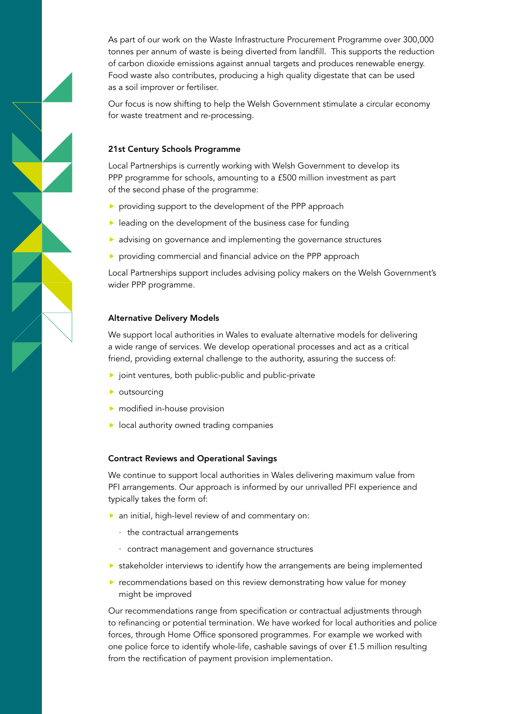As part of our work on the Waste Infrastructure Procurement Programme over 300,000 tonnes per annum of waste is being diverted from landfill. This supports the reduction of carbon dioxide emissions against annual targets and produces renewable energy. Food waste also contributes, producing a high quality digestate that can be used as a soil improver or fertiliser.

Our focus is now shifting to help the Welsh Government stimulate a circular economy for waste treatment and re-processing.

#### 21st Century Schools Programme

Local Partnerships is currently working with Welsh Government to develop its PPP programme for schools, amounting to a £500 million investment as part of the second phase of the programme:

- providing support to the development of the PPP approach
- $\blacktriangleright$  leading on the development of the business case for funding
- advising on governance and implementing the governance structures
- **P** providing commercial and financial advice on the PPP approach

Local Partnerships support includes advising policy makers on the Welsh Government's wider PPP programme.

#### Alternative Delivery Models

We support local authorities in Wales to evaluate alternative models for delivering a wide range of services. We develop operational processes and act as a critical friend, providing external challenge to the authority, assuring the success of:

- $\blacktriangleright$  joint ventures, both public-public and public-private
- $\blacktriangleright$  outsourcing
- modified in-house provision
- $\blacktriangleright$  local authority owned trading companies

#### Contract Reviews and Operational Savings

We continue to support local authorities in Wales delivering maximum value from PFI arrangements. Our approach is informed by our unrivalled PFI experience and typically takes the form of:

- an initial, high-level review of and commentary on:
	- · the contractual arrangements
	- · contract management and governance structures
- $\triangleright$  stakeholder interviews to identify how the arrangements are being implemented
- **P** recommendations based on this review demonstrating how value for money might be improved

Our recommendations range from specification or contractual adjustments through to refinancing or potential termination. We have worked for local authorities and police forces, through Home Office sponsored programmes. For example we worked with one police force to identify whole-life, cashable savings of over £1.5 million resulting from the rectification of payment provision implementation.